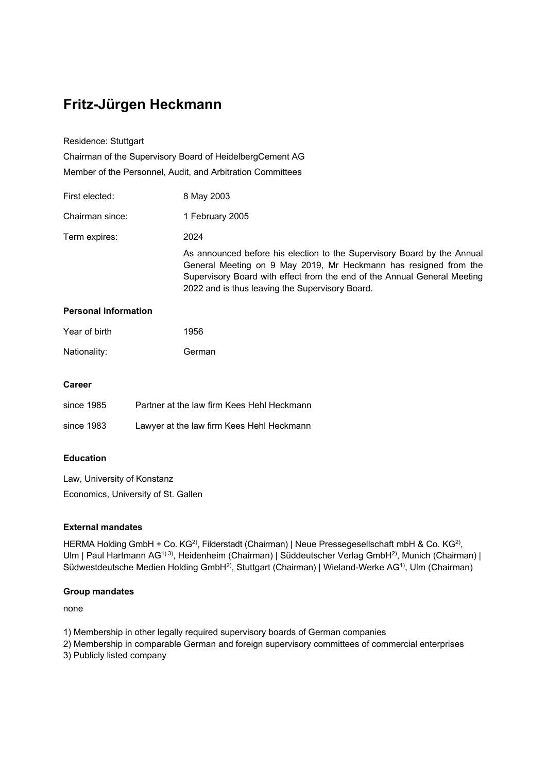# **Fritz-Jürgen Heckmann**

Residence: Stuttgart

Chairman of the Supervisory Board of HeidelbergCement AG Member of the Personnel, Audit, and Arbitration Committees

| First elected:  | 8 May 2003                                                                                                                                                                                                                                                                 |
|-----------------|----------------------------------------------------------------------------------------------------------------------------------------------------------------------------------------------------------------------------------------------------------------------------|
| Chairman since: | 1 February 2005                                                                                                                                                                                                                                                            |
| Term expires:   | 2024                                                                                                                                                                                                                                                                       |
|                 | As announced before his election to the Supervisory Board by the Annual<br>General Meeting on 9 May 2019, Mr Heckmann has resigned from the<br>Supervisory Board with effect from the end of the Annual General Meeting<br>2022 and is thus leaving the Supervisory Board. |

### **Personal information**

| Year of birth | 1956   |
|---------------|--------|
| Nationality:  | German |

### **Career**

| since 1985 | Partner at the law firm Kees Hehl Heckmann |
|------------|--------------------------------------------|
| since 1983 | Lawyer at the law firm Kees Hehl Heckmann  |

# **Education**

Law, University of Konstanz Economics, University of St. Gallen

# **External mandates**

HERMA Holding GmbH + Co. KG<sup>2)</sup>, Filderstadt (Chairman) | Neue Pressegesellschaft mbH & Co. KG<sup>2)</sup>, Ulm | Paul Hartmann AG<sup>1) 3)</sup>, Heidenheim (Chairman) | Süddeutscher Verlag GmbH<sup>2)</sup>, Munich (Chairman) | Südwestdeutsche Medien Holding GmbH<sup>2)</sup>, Stuttgart (Chairman) | Wieland-Werke AG<sup>1)</sup>, Ulm (Chairman)

#### **Group mandates**

none

1) Membership in other legally required supervisory boards of German companies

2) Membership in comparable German and foreign supervisory committees of commercial enterprises

3) Publicly listed company